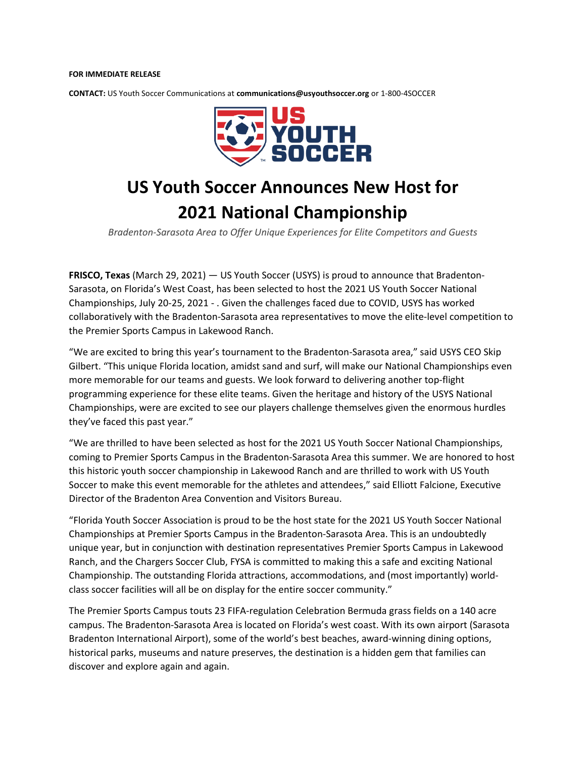## **FOR IMMEDIATE RELEASE**

**CONTACT:** US Youth Soccer Communications at **communications@usyouthsoccer.org** or 1-800-4SOCCER



## **US Youth Soccer Announces New Host for 2021 National Championship**

*Bradenton-Sarasota Area to Offer Unique Experiences for Elite Competitors and Guests*

**FRISCO, Texas** (March 29, 2021) — US Youth Soccer (USYS) is proud to announce that Bradenton-Sarasota, on Florida's West Coast, has been selected to host the 2021 US Youth Soccer National Championships, July 20-25, 2021 - . Given the challenges faced due to COVID, USYS has worked collaboratively with the Bradenton-Sarasota area representatives to move the elite-level competition to the Premier Sports Campus in Lakewood Ranch.

"We are excited to bring this year's tournament to the Bradenton-Sarasota area," said USYS CEO Skip Gilbert. "This unique Florida location, amidst sand and surf, will make our National Championships even more memorable for our teams and guests. We look forward to delivering another top-flight programming experience for these elite teams. Given the heritage and history of the USYS National Championships, were are excited to see our players challenge themselves given the enormous hurdles they've faced this past year."

"We are thrilled to have been selected as host for the 2021 US Youth Soccer National Championships, coming to Premier Sports Campus in the Bradenton-Sarasota Area this summer. We are honored to host this historic youth soccer championship in Lakewood Ranch and are thrilled to work with US Youth Soccer to make this event memorable for the athletes and attendees," said Elliott Falcione, Executive Director of the Bradenton Area Convention and Visitors Bureau.

"Florida Youth Soccer Association is proud to be the host state for the 2021 US Youth Soccer National Championships at Premier Sports Campus in the Bradenton-Sarasota Area. This is an undoubtedly unique year, but in conjunction with destination representatives Premier Sports Campus in Lakewood Ranch, and the Chargers Soccer Club, FYSA is committed to making this a safe and exciting National Championship. The outstanding Florida attractions, accommodations, and (most importantly) worldclass soccer facilities will all be on display for the entire soccer community."

The Premier Sports Campus touts 23 FIFA-regulation Celebration Bermuda grass fields on a 140 acre campus. The Bradenton-Sarasota Area is located on Florida's west coast. With its own airport (Sarasota Bradenton International Airport), some of the world's best beaches, award-winning dining options, historical parks, museums and nature preserves, the destination is a hidden gem that families can discover and explore again and again.